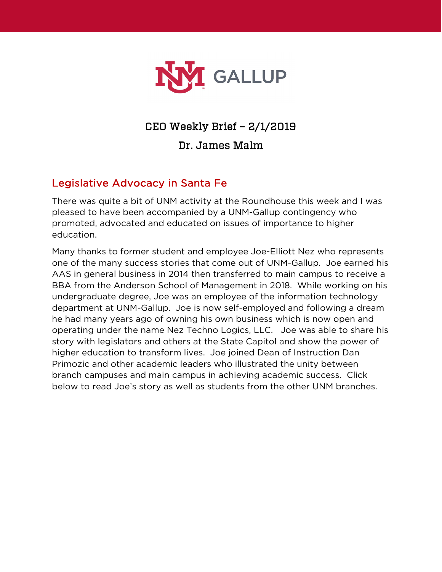

## CEO Weekly Brief – 2/1/2019

Dr. James Malm

## Legislative Advocacy in Santa Fe

There was quite a bit of UNM activity at the Roundhouse this week and I was pleased to have been accompanied by a UNM-Gallup contingency who promoted, advocated and educated on issues of importance to higher education.

Many thanks to former student and employee Joe-Elliott Nez who represents one of the many success stories that come out of UNM-Gallup. Joe earned his AAS in general business in 2014 then transferred to main campus to receive a BBA from the Anderson School of Management in 2018. While working on his undergraduate degree, Joe was an employee of the information technology department at UNM-Gallup. Joe is now self-employed and following a dream he had many years ago of owning his own business which is now open and operating under the name Nez Techno Logics, LLC. Joe was able to share his story with legislators and others at the State Capitol and show the power of higher education to transform lives. Joe joined Dean of Instruction Dan Primozic and other academic leaders who illustrated the unity between branch campuses and main campus in achieving academic success. Click below to read Joe's story as well as students from the other UNM branches.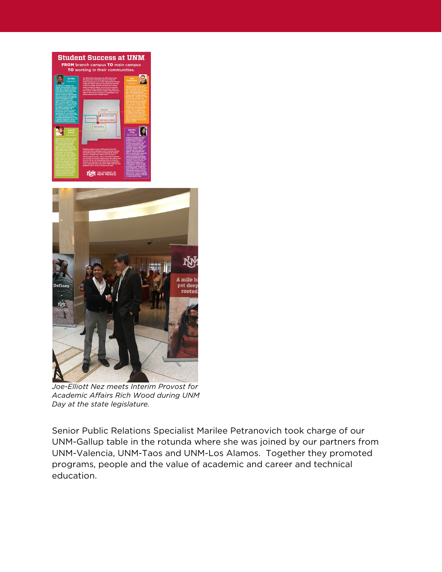



*Joe-Elliott Nez meets Interim Provost for Academic Affairs Rich Wood during UNM Day at the state legislature.*

Senior Public Relations Specialist Marilee Petranovich took charge of our UNM-Gallup table in the rotunda where she was joined by our partners from UNM-Valencia, UNM-Taos and UNM-Los Alamos. Together they promoted programs, people and the value of academic and career and technical education.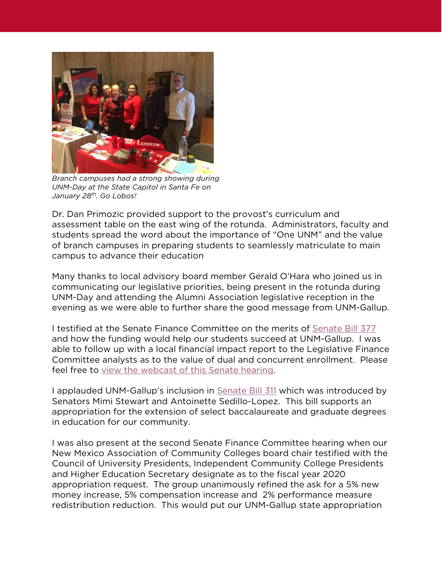

*Branch campuses had a strong showing during UNM-Day at the State Capitol in Santa Fe on January 28th. Go Lobos!*

Dr. Dan Primozic provided support to the provost's curriculum and assessment table on the east wing of the rotunda. Administrators, faculty and students spread the word about the importance of "One UNM" and the value of branch campuses in preparing students to seamlessly matriculate to main campus to advance their education

Many thanks to local advisory board member Gerald O'Hara who joined us in communicating our legislative priorities, being present in the rotunda during UNM-Day and attending the Alumni Association legislative reception in the evening as we were able to further share the good message from UNM-Gallup.

I testified at the Senate Finance Committee on the merits of [Senate Bill 377](https://www.nmlegis.gov/Sessions/19%20Regular/bills/senate/SB0377.pdf) and how the funding would help our students succeed at UNM-Gallup. I was able to follow up with a local financial impact report to the Legislative Finance Committee analysts as to the value of dual and concurrent enrollment. Please feel free to [view the webcast of this Senate hearing.](http://sg001-harmony.sliq.net/00293/Harmony/en/PowerBrowser/PowerBrowserV2/20190128/-1/61887)

I applauded UNM-Gallup's inclusion in [Senate Bill 311](https://www.nmlegis.gov/Sessions/19%20Regular/bills/senate/SB0311.pdf) which was introduced by Senators Mimi Stewart and Antoinette Sedillo-Lopez. This bill supports an appropriation for the extension of select baccalaureate and graduate degrees in education for our community.

I was also present at the second Senate Finance Committee hearing when our New Mexico Association of Community Colleges board chair testified with the Council of University Presidents, Independent Community College Presidents and Higher Education Secretary designate as to the fiscal year 2020 appropriation request. The group unanimously refined the ask for a 5% new money increase, 5% compensation increase and 2% performance measure redistribution reduction. This would put our UNM-Gallup state appropriation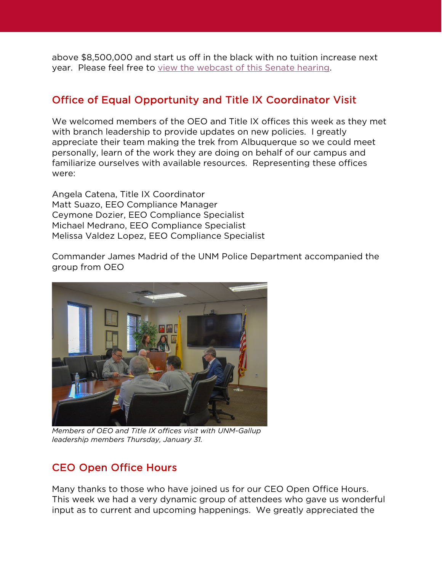above \$8,500,000 and start us off in the black with no tuition increase next year. Please feel free to [view the webcast of this Senate hearing.](http://sg001-harmony.sliq.net/00293/Harmony/en/PowerBrowser/PowerBrowserV2/20190129/-1/61914)

## Office of Equal Opportunity and Title IX Coordinator Visit

We welcomed members of the OEO and Title IX offices this week as they met with branch leadership to provide updates on new policies. I greatly appreciate their team making the trek from Albuquerque so we could meet personally, learn of the work they are doing on behalf of our campus and familiarize ourselves with available resources. Representing these offices were:

Angela Catena, Title IX Coordinator Matt Suazo, EEO Compliance Manager Ceymone Dozier, EEO Compliance Specialist Michael Medrano, EEO Compliance Specialist Melissa Valdez Lopez, EEO Compliance Specialist

Commander James Madrid of the UNM Police Department accompanied the group from OEO



*Members of OEO and Title IX offices visit with UNM-Gallup leadership members Thursday, January 31.*

## CEO Open Office Hours

Many thanks to those who have joined us for our CEO Open Office Hours. This week we had a very dynamic group of attendees who gave us wonderful input as to current and upcoming happenings. We greatly appreciated the